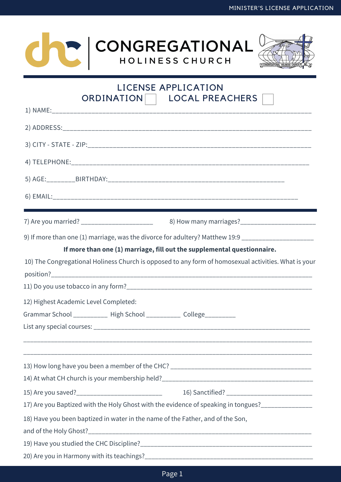



| LICENSE APPLICATION<br><b>LOCAL PREACHERS</b><br>ORDINATION                                          |  |  |  |
|------------------------------------------------------------------------------------------------------|--|--|--|
|                                                                                                      |  |  |  |
|                                                                                                      |  |  |  |
|                                                                                                      |  |  |  |
|                                                                                                      |  |  |  |
|                                                                                                      |  |  |  |
|                                                                                                      |  |  |  |
|                                                                                                      |  |  |  |
|                                                                                                      |  |  |  |
| 7) Are you married? _________________________                                                        |  |  |  |
| 9) If more than one (1) marriage, was the divorce for adultery? Matthew 19:9 ______________________  |  |  |  |
| If more than one (1) marriage, fill out the supplemental questionnaire.                              |  |  |  |
| 10) The Congregational Holiness Church is opposed to any form of homosexual activities. What is your |  |  |  |
|                                                                                                      |  |  |  |
|                                                                                                      |  |  |  |
| 12) Highest Academic Level Completed:                                                                |  |  |  |
| Grammar School ___________ High School __________ College_________                                   |  |  |  |
|                                                                                                      |  |  |  |
|                                                                                                      |  |  |  |
|                                                                                                      |  |  |  |
|                                                                                                      |  |  |  |
|                                                                                                      |  |  |  |
|                                                                                                      |  |  |  |
| 17) Are you Baptized with the Holy Ghost with the evidence of speaking in tongues?_______________    |  |  |  |
| 18) Have you been baptized in water in the name of the Father, and of the Son,                       |  |  |  |
|                                                                                                      |  |  |  |
|                                                                                                      |  |  |  |
|                                                                                                      |  |  |  |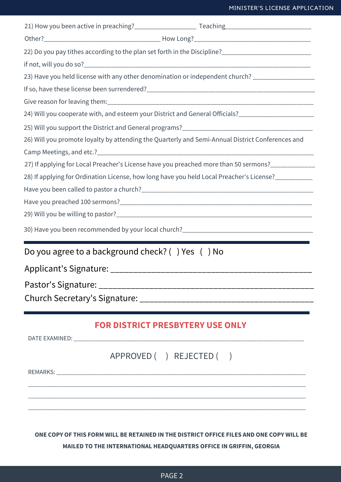## MINISTER'S LICENSE APPLICATION

| 22) Do you pay tithes according to the plan set forth in the Discipline?___________________________ |  |                                         |  |
|-----------------------------------------------------------------------------------------------------|--|-----------------------------------------|--|
|                                                                                                     |  |                                         |  |
| 23) Have you held license with any other denomination or independent church? _________________      |  |                                         |  |
|                                                                                                     |  |                                         |  |
|                                                                                                     |  |                                         |  |
| 24) Will you cooperate with, and esteem your District and General Officials?_______________________ |  |                                         |  |
|                                                                                                     |  |                                         |  |
| 26) Will you promote loyalty by attending the Quarterly and Semi-Annual District Conferences and    |  |                                         |  |
|                                                                                                     |  |                                         |  |
| 27) If applying for Local Preacher's License have you preached more than 50 sermons?_____________   |  |                                         |  |
| 28) If applying for Ordination License, how long have you held Local Preacher's License?__________  |  |                                         |  |
|                                                                                                     |  |                                         |  |
|                                                                                                     |  |                                         |  |
|                                                                                                     |  |                                         |  |
|                                                                                                     |  |                                         |  |
| Do you agree to a background check? () Yes () No                                                    |  |                                         |  |
| Applicant's Signature: _                                                                            |  |                                         |  |
|                                                                                                     |  |                                         |  |
|                                                                                                     |  |                                         |  |
|                                                                                                     |  | <b>FOR DISTRICT PRESBYTERY USE ONLY</b> |  |
|                                                                                                     |  |                                         |  |
|                                                                                                     |  | APPROVED ( ) REJECTED ( )               |  |
|                                                                                                     |  |                                         |  |
|                                                                                                     |  |                                         |  |

**ONE COPY OF THIS FORM WILL BE RETAINED IN THE DISTRICT OFFICE FILES AND ONE COPY WILL BE MAILED TO THE INTERNATIONAL HEADQUARTERS OFFICE IN GRIFFIN, GEORGIA**

\_\_\_\_\_\_\_\_\_\_\_\_\_\_\_\_\_\_\_\_\_\_\_\_\_\_\_\_\_\_\_\_\_\_\_\_\_\_\_\_\_\_\_\_\_\_\_\_\_\_\_\_\_\_\_\_\_\_\_\_\_\_\_\_\_\_\_\_\_\_\_\_\_\_\_\_\_\_\_\_\_\_\_\_\_\_\_\_